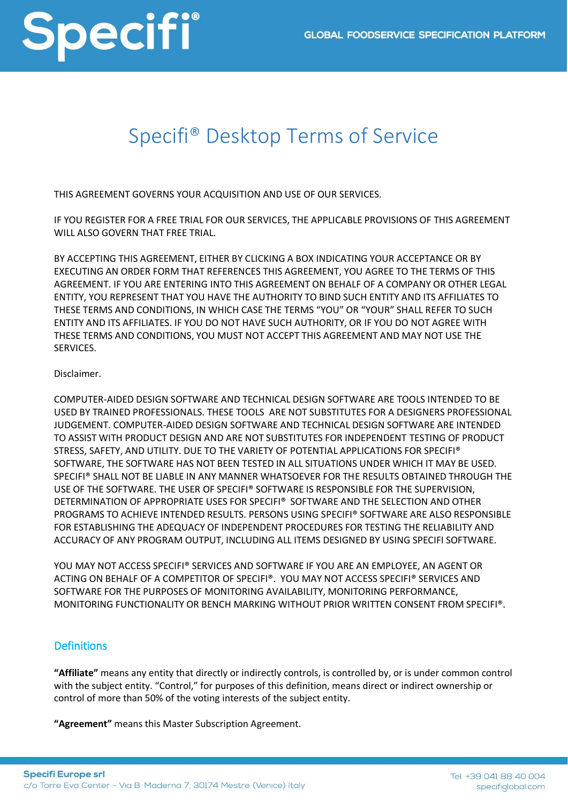

### Specifi® Desktop Terms of Service

THIS AGREEMENT GOVERNS YOUR ACQUISITION AND USE OF OUR SERVICES.

IF YOU REGISTER FOR A FREE TRIAL FOR OUR SERVICES, THE APPLICABLE PROVISIONS OF THIS AGREEMENT WILL ALSO GOVERN THAT FREE TRIAL.

BY ACCEPTING THIS AGREEMENT, EITHER BY CLICKING A BOX INDICATING YOUR ACCEPTANCE OR BY EXECUTING AN ORDER FORM THAT REFERENCES THIS AGREEMENT, YOU AGREE TO THE TERMS OF THIS AGREEMENT. IF YOU ARE ENTERING INTO THIS AGREEMENT ON BEHALF OF A COMPANY OR OTHER LEGAL ENTITY, YOU REPRESENT THAT YOU HAVE THE AUTHORITY TO BIND SUCH ENTITY AND ITS AFFILIATES TO THESE TERMS AND CONDITIONS, IN WHICH CASE THE TERMS "YOU" OR "YOUR" SHALL REFER TO SUCH ENTITY AND ITS AFFILIATES. IF YOU DO NOT HAVE SUCH AUTHORITY, OR IF YOU DO NOT AGREE WITH THESE TERMS AND CONDITIONS, YOU MUST NOT ACCEPT THIS AGREEMENT AND MAY NOT USE THE SERVICES.

#### Disclaimer.

COMPUTER-AIDED DESIGN SOFTWARE AND TECHNICAL DESIGN SOFTWARE ARE TOOLS INTENDED TO BE USED BY TRAINED PROFESSIONALS. THESE TOOLS ARE NOT SUBSTITUTES FOR A DESIGNERS PROFESSIONAL JUDGEMENT. COMPUTER-AIDED DESIGN SOFTWARE AND TECHNICAL DESIGN SOFTWARE ARE INTENDED TO ASSIST WITH PRODUCT DESIGN AND ARE NOT SUBSTITUTES FOR INDEPENDENT TESTING OF PRODUCT STRESS, SAFETY, AND UTILITY. DUE TO THE VARIETY OF POTENTIAL APPLICATIONS FOR SPECIFI® SOFTWARE, THE SOFTWARE HAS NOT BEEN TESTED IN ALL SITUATIONS UNDER WHICH IT MAY BE USED. SPECIFI® SHALL NOT BE LIABLE IN ANY MANNER WHATSOEVER FOR THE RESULTS OBTAINED THROUGH THE USE OF THE SOFTWARE. THE USER OF SPECIFI® SOFTWARE IS RESPONSIBLE FOR THE SUPERVISION, DETERMINATION OF APPROPRIATE USES FOR SPECIFI® SOFTWARE AND THE SELECTION AND OTHER PROGRAMS TO ACHIEVE INTENDED RESULTS. PERSONS USING SPECIFI® SOFTWARE ARE ALSO RESPONSIBLE FOR ESTABLISHING THE ADEQUACY OF INDEPENDENT PROCEDURES FOR TESTING THE RELIABILITY AND ACCURACY OF ANY PROGRAM OUTPUT, INCLUDING ALL ITEMS DESIGNED BY USING SPECIFI SOFTWARE.

YOU MAY NOT ACCESS SPECIFI® SERVICES AND SOFTWARE IF YOU ARE AN EMPLOYEE, AN AGENT OR ACTING ON BEHALF OF A COMPETITOR OF SPECIFI®. YOU MAY NOT ACCESS SPECIFI® SERVICES AND SOFTWARE FOR THE PURPOSES OF MONITORING AVAILABILITY, MONITORING PERFORMANCE, MONITORING FUNCTIONALITY OR BENCH MARKING WITHOUT PRIOR WRITTEN CONSENT FROM SPECIFI®.

#### **Definitions**

**"Affiliate"** means any entity that directly or indirectly controls, is controlled by, or is under common control with the subject entity. "Control," for purposes of this definition, means direct or indirect ownership or control of more than 50% of the voting interests of the subject entity.

**"Agreement"** means this Master Subscription Agreement.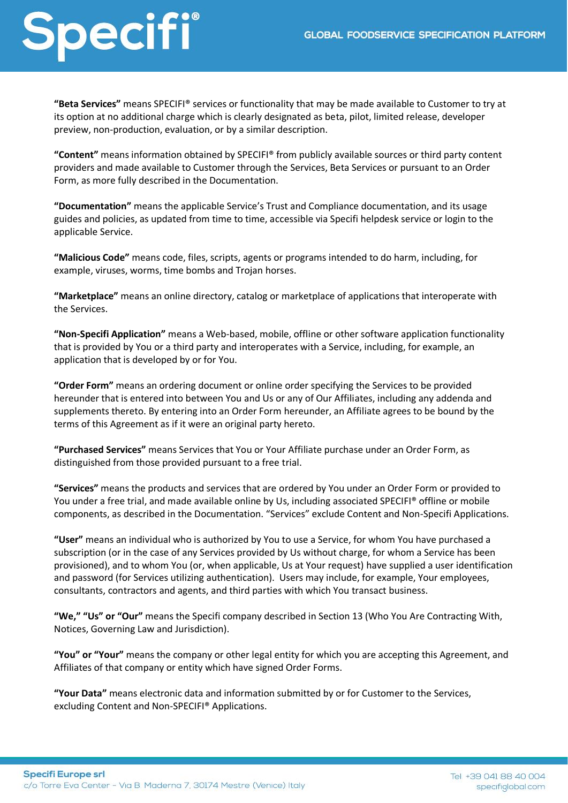**"Beta Services"** means SPECIFI® services or functionality that may be made available to Customer to try at its option at no additional charge which is clearly designated as beta, pilot, limited release, developer preview, non-production, evaluation, or by a similar description.

**"Content"** means information obtained by SPECIFI® from publicly available sources or third party content providers and made available to Customer through the Services, Beta Services or pursuant to an Order Form, as more fully described in the Documentation.

**"Documentation"** means the applicable Service's Trust and Compliance documentation, and its usage guides and policies, as updated from time to time, accessible via Specifi helpdesk service or login to the applicable Service.

**"Malicious Code"** means code, files, scripts, agents or programs intended to do harm, including, for example, viruses, worms, time bombs and Trojan horses.

**"Marketplace"** means an online directory, catalog or marketplace of applications that interoperate with the Services.

**"Non-Specifi Application"** means a Web-based, mobile, offline or other software application functionality that is provided by You or a third party and interoperates with a Service, including, for example, an application that is developed by or for You.

**"Order Form"** means an ordering document or online order specifying the Services to be provided hereunder that is entered into between You and Us or any of Our Affiliates, including any addenda and supplements thereto. By entering into an Order Form hereunder, an Affiliate agrees to be bound by the terms of this Agreement as if it were an original party hereto.

**"Purchased Services"** means Services that You or Your Affiliate purchase under an Order Form, as distinguished from those provided pursuant to a free trial.

**"Services"** means the products and services that are ordered by You under an Order Form or provided to You under a free trial, and made available online by Us, including associated SPECIFI® offline or mobile components, as described in the Documentation. "Services" exclude Content and Non-Specifi Applications.

**"User"** means an individual who is authorized by You to use a Service, for whom You have purchased a subscription (or in the case of any Services provided by Us without charge, for whom a Service has been provisioned), and to whom You (or, when applicable, Us at Your request) have supplied a user identification and password (for Services utilizing authentication). Users may include, for example, Your employees, consultants, contractors and agents, and third parties with which You transact business.

**"We," "Us" or "Our"** means the Specifi company described in Section 13 (Who You Are Contracting With, Notices, Governing Law and Jurisdiction).

**"You" or "Your"** means the company or other legal entity for which you are accepting this Agreement, and Affiliates of that company or entity which have signed Order Forms.

**"Your Data"** means electronic data and information submitted by or for Customer to the Services, excluding Content and Non-SPECIFI® Applications.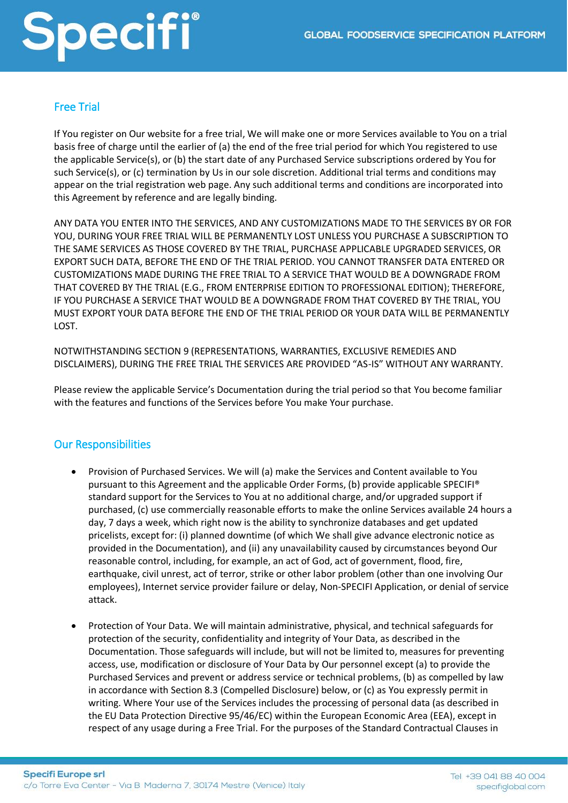### Free Trial

If You register on Our website for a free trial, We will make one or more Services available to You on a trial basis free of charge until the earlier of (a) the end of the free trial period for which You registered to use the applicable Service(s), or (b) the start date of any Purchased Service subscriptions ordered by You for such Service(s), or (c) termination by Us in our sole discretion. Additional trial terms and conditions may appear on the trial registration web page. Any such additional terms and conditions are incorporated into this Agreement by reference and are legally binding.

ANY DATA YOU ENTER INTO THE SERVICES, AND ANY CUSTOMIZATIONS MADE TO THE SERVICES BY OR FOR YOU, DURING YOUR FREE TRIAL WILL BE PERMANENTLY LOST UNLESS YOU PURCHASE A SUBSCRIPTION TO THE SAME SERVICES AS THOSE COVERED BY THE TRIAL, PURCHASE APPLICABLE UPGRADED SERVICES, OR EXPORT SUCH DATA, BEFORE THE END OF THE TRIAL PERIOD. YOU CANNOT TRANSFER DATA ENTERED OR CUSTOMIZATIONS MADE DURING THE FREE TRIAL TO A SERVICE THAT WOULD BE A DOWNGRADE FROM THAT COVERED BY THE TRIAL (E.G., FROM ENTERPRISE EDITION TO PROFESSIONAL EDITION); THEREFORE, IF YOU PURCHASE A SERVICE THAT WOULD BE A DOWNGRADE FROM THAT COVERED BY THE TRIAL, YOU MUST EXPORT YOUR DATA BEFORE THE END OF THE TRIAL PERIOD OR YOUR DATA WILL BE PERMANENTLY LOST.

NOTWITHSTANDING SECTION 9 (REPRESENTATIONS, WARRANTIES, EXCLUSIVE REMEDIES AND DISCLAIMERS), DURING THE FREE TRIAL THE SERVICES ARE PROVIDED "AS-IS" WITHOUT ANY WARRANTY.

Please review the applicable Service's Documentation during the trial period so that You become familiar with the features and functions of the Services before You make Your purchase.

#### Our Responsibilities

- Provision of Purchased Services. We will (a) make the Services and Content available to You pursuant to this Agreement and the applicable Order Forms, (b) provide applicable SPECIFI® standard support for the Services to You at no additional charge, and/or upgraded support if purchased, (c) use commercially reasonable efforts to make the online Services available 24 hours a day, 7 days a week, which right now is the ability to synchronize databases and get updated pricelists, except for: (i) planned downtime (of which We shall give advance electronic notice as provided in the Documentation), and (ii) any unavailability caused by circumstances beyond Our reasonable control, including, for example, an act of God, act of government, flood, fire, earthquake, civil unrest, act of terror, strike or other labor problem (other than one involving Our employees), Internet service provider failure or delay, Non-SPECIFI Application, or denial of service attack.
- Protection of Your Data. We will maintain administrative, physical, and technical safeguards for protection of the security, confidentiality and integrity of Your Data, as described in the Documentation. Those safeguards will include, but will not be limited to, measures for preventing access, use, modification or disclosure of Your Data by Our personnel except (a) to provide the Purchased Services and prevent or address service or technical problems, (b) as compelled by law in accordance with Section 8.3 (Compelled Disclosure) below, or (c) as You expressly permit in writing. Where Your use of the Services includes the processing of personal data (as described in the EU Data Protection Directive 95/46/EC) within the European Economic Area (EEA), except in respect of any usage during a Free Trial. For the purposes of the Standard Contractual Clauses in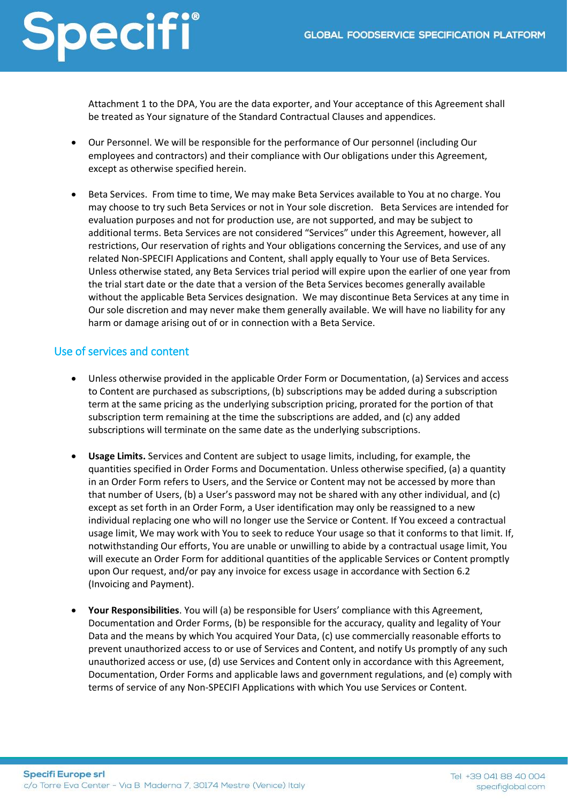Attachment 1 to the DPA, You are the data exporter, and Your acceptance of this Agreement shall be treated as Your signature of the Standard Contractual Clauses and appendices.

- Our Personnel. We will be responsible for the performance of Our personnel (including Our employees and contractors) and their compliance with Our obligations under this Agreement, except as otherwise specified herein.
- Beta Services. From time to time, We may make Beta Services available to You at no charge. You may choose to try such Beta Services or not in Your sole discretion. Beta Services are intended for evaluation purposes and not for production use, are not supported, and may be subject to additional terms. Beta Services are not considered "Services" under this Agreement, however, all restrictions, Our reservation of rights and Your obligations concerning the Services, and use of any related Non-SPECIFI Applications and Content, shall apply equally to Your use of Beta Services. Unless otherwise stated, any Beta Services trial period will expire upon the earlier of one year from the trial start date or the date that a version of the Beta Services becomes generally available without the applicable Beta Services designation. We may discontinue Beta Services at any time in Our sole discretion and may never make them generally available. We will have no liability for any harm or damage arising out of or in connection with a Beta Service.

### Use of services and content

- Unless otherwise provided in the applicable Order Form or Documentation, (a) Services and access to Content are purchased as subscriptions, (b) subscriptions may be added during a subscription term at the same pricing as the underlying subscription pricing, prorated for the portion of that subscription term remaining at the time the subscriptions are added, and (c) any added subscriptions will terminate on the same date as the underlying subscriptions.
- **Usage Limits.** Services and Content are subject to usage limits, including, for example, the quantities specified in Order Forms and Documentation. Unless otherwise specified, (a) a quantity in an Order Form refers to Users, and the Service or Content may not be accessed by more than that number of Users, (b) a User's password may not be shared with any other individual, and (c) except as set forth in an Order Form, a User identification may only be reassigned to a new individual replacing one who will no longer use the Service or Content. If You exceed a contractual usage limit, We may work with You to seek to reduce Your usage so that it conforms to that limit. If, notwithstanding Our efforts, You are unable or unwilling to abide by a contractual usage limit, You will execute an Order Form for additional quantities of the applicable Services or Content promptly upon Our request, and/or pay any invoice for excess usage in accordance with Section 6.2 (Invoicing and Payment).
- **Your Responsibilities**. You will (a) be responsible for Users' compliance with this Agreement, Documentation and Order Forms, (b) be responsible for the accuracy, quality and legality of Your Data and the means by which You acquired Your Data, (c) use commercially reasonable efforts to prevent unauthorized access to or use of Services and Content, and notify Us promptly of any such unauthorized access or use, (d) use Services and Content only in accordance with this Agreement, Documentation, Order Forms and applicable laws and government regulations, and (e) comply with terms of service of any Non-SPECIFI Applications with which You use Services or Content.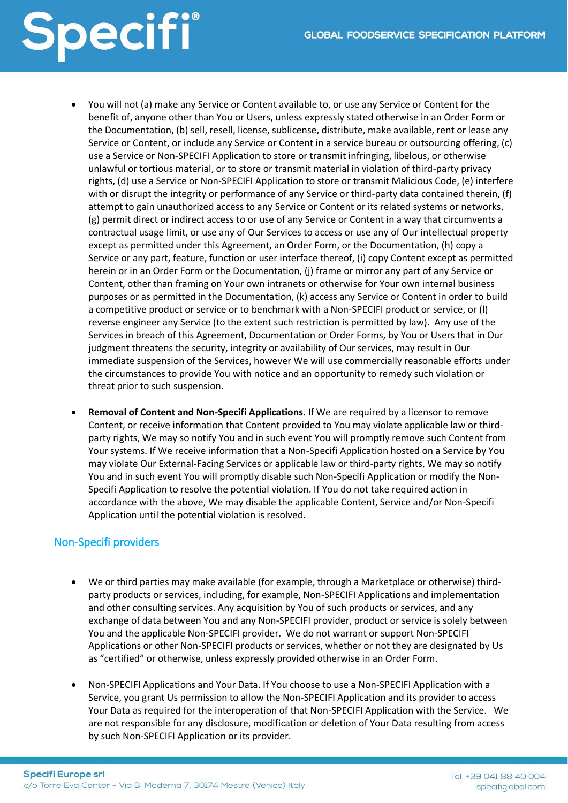# Specifi®

- You will not (a) make any Service or Content available to, or use any Service or Content for the benefit of, anyone other than You or Users, unless expressly stated otherwise in an Order Form or the Documentation, (b) sell, resell, license, sublicense, distribute, make available, rent or lease any Service or Content, or include any Service or Content in a service bureau or outsourcing offering, (c) use a Service or Non-SPECIFI Application to store or transmit infringing, libelous, or otherwise unlawful or tortious material, or to store or transmit material in violation of third-party privacy rights, (d) use a Service or Non-SPECIFI Application to store or transmit Malicious Code, (e) interfere with or disrupt the integrity or performance of any Service or third-party data contained therein, (f) attempt to gain unauthorized access to any Service or Content or its related systems or networks, (g) permit direct or indirect access to or use of any Service or Content in a way that circumvents a contractual usage limit, or use any of Our Services to access or use any of Our intellectual property except as permitted under this Agreement, an Order Form, or the Documentation, (h) copy a Service or any part, feature, function or user interface thereof, (i) copy Content except as permitted herein or in an Order Form or the Documentation, (j) frame or mirror any part of any Service or Content, other than framing on Your own intranets or otherwise for Your own internal business purposes or as permitted in the Documentation, (k) access any Service or Content in order to build a competitive product or service or to benchmark with a Non-SPECIFI product or service, or (l) reverse engineer any Service (to the extent such restriction is permitted by law). Any use of the Services in breach of this Agreement, Documentation or Order Forms, by You or Users that in Our judgment threatens the security, integrity or availability of Our services, may result in Our immediate suspension of the Services, however We will use commercially reasonable efforts under the circumstances to provide You with notice and an opportunity to remedy such violation or threat prior to such suspension.
- **Removal of Content and Non-Specifi Applications.** If We are required by a licensor to remove Content, or receive information that Content provided to You may violate applicable law or thirdparty rights, We may so notify You and in such event You will promptly remove such Content from Your systems. If We receive information that a Non-Specifi Application hosted on a Service by You may violate Our External-Facing Services or applicable law or third-party rights, We may so notify You and in such event You will promptly disable such Non-Specifi Application or modify the Non-Specifi Application to resolve the potential violation. If You do not take required action in accordance with the above, We may disable the applicable Content, Service and/or Non-Specifi Application until the potential violation is resolved.

### Non-Specifi providers

- We or third parties may make available (for example, through a Marketplace or otherwise) thirdparty products or services, including, for example, Non-SPECIFI Applications and implementation and other consulting services. Any acquisition by You of such products or services, and any exchange of data between You and any Non-SPECIFI provider, product or service is solely between You and the applicable Non-SPECIFI provider. We do not warrant or support Non-SPECIFI Applications or other Non-SPECIFI products or services, whether or not they are designated by Us as "certified" or otherwise, unless expressly provided otherwise in an Order Form.
- Non-SPECIFI Applications and Your Data. If You choose to use a Non-SPECIFI Application with a Service, you grant Us permission to allow the Non-SPECIFI Application and its provider to access Your Data as required for the interoperation of that Non-SPECIFI Application with the Service. We are not responsible for any disclosure, modification or deletion of Your Data resulting from access by such Non-SPECIFI Application or its provider.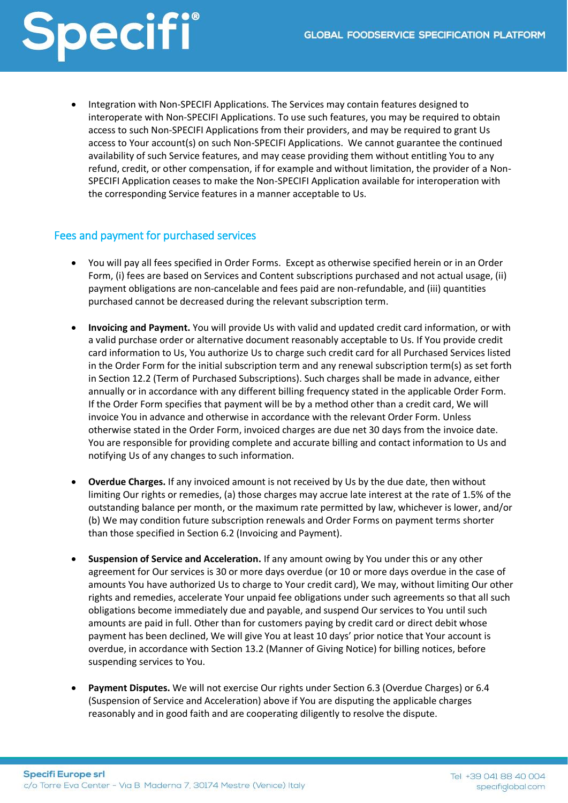• Integration with Non-SPECIFI Applications. The Services may contain features designed to interoperate with Non-SPECIFI Applications. To use such features, you may be required to obtain access to such Non-SPECIFI Applications from their providers, and may be required to grant Us access to Your account(s) on such Non-SPECIFI Applications. We cannot guarantee the continued availability of such Service features, and may cease providing them without entitling You to any refund, credit, or other compensation, if for example and without limitation, the provider of a Non-SPECIFI Application ceases to make the Non-SPECIFI Application available for interoperation with the corresponding Service features in a manner acceptable to Us.

#### Fees and payment for purchased services

- You will pay all fees specified in Order Forms. Except as otherwise specified herein or in an Order Form, (i) fees are based on Services and Content subscriptions purchased and not actual usage, (ii) payment obligations are non-cancelable and fees paid are non-refundable, and (iii) quantities purchased cannot be decreased during the relevant subscription term.
- **Invoicing and Payment.** You will provide Us with valid and updated credit card information, or with a valid purchase order or alternative document reasonably acceptable to Us. If You provide credit card information to Us, You authorize Us to charge such credit card for all Purchased Services listed in the Order Form for the initial subscription term and any renewal subscription term(s) as set forth in Section 12.2 (Term of Purchased Subscriptions). Such charges shall be made in advance, either annually or in accordance with any different billing frequency stated in the applicable Order Form. If the Order Form specifies that payment will be by a method other than a credit card, We will invoice You in advance and otherwise in accordance with the relevant Order Form. Unless otherwise stated in the Order Form, invoiced charges are due net 30 days from the invoice date. You are responsible for providing complete and accurate billing and contact information to Us and notifying Us of any changes to such information.
- **Overdue Charges.** If any invoiced amount is not received by Us by the due date, then without limiting Our rights or remedies, (a) those charges may accrue late interest at the rate of 1.5% of the outstanding balance per month, or the maximum rate permitted by law, whichever is lower, and/or (b) We may condition future subscription renewals and Order Forms on payment terms shorter than those specified in Section 6.2 (Invoicing and Payment).
- **Suspension of Service and Acceleration.** If any amount owing by You under this or any other agreement for Our services is 30 or more days overdue (or 10 or more days overdue in the case of amounts You have authorized Us to charge to Your credit card), We may, without limiting Our other rights and remedies, accelerate Your unpaid fee obligations under such agreements so that all such obligations become immediately due and payable, and suspend Our services to You until such amounts are paid in full. Other than for customers paying by credit card or direct debit whose payment has been declined, We will give You at least 10 days' prior notice that Your account is overdue, in accordance with Section 13.2 (Manner of Giving Notice) for billing notices, before suspending services to You.
- **Payment Disputes.** We will not exercise Our rights under Section 6.3 (Overdue Charges) or 6.4 (Suspension of Service and Acceleration) above if You are disputing the applicable charges reasonably and in good faith and are cooperating diligently to resolve the dispute.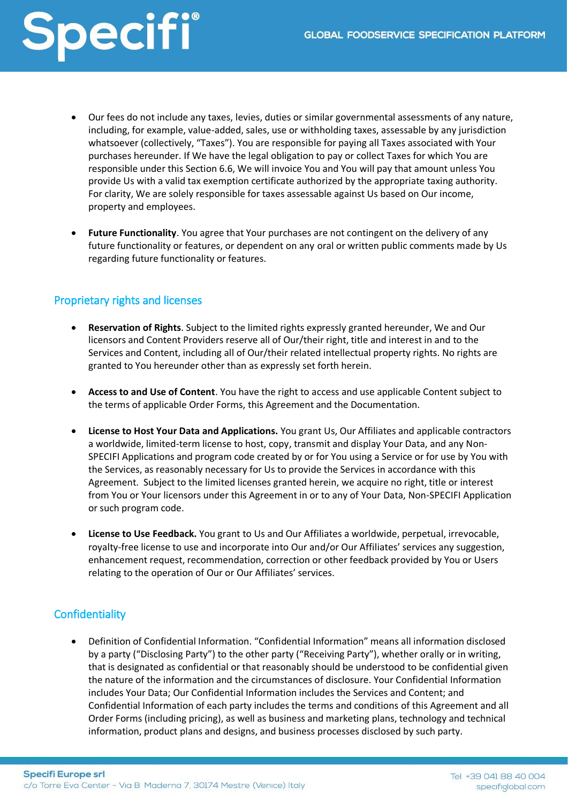- Our fees do not include any taxes, levies, duties or similar governmental assessments of any nature, including, for example, value-added, sales, use or withholding taxes, assessable by any jurisdiction whatsoever (collectively, "Taxes"). You are responsible for paying all Taxes associated with Your purchases hereunder. If We have the legal obligation to pay or collect Taxes for which You are responsible under this Section 6.6, We will invoice You and You will pay that amount unless You provide Us with a valid tax exemption certificate authorized by the appropriate taxing authority. For clarity, We are solely responsible for taxes assessable against Us based on Our income, property and employees.
- **Future Functionality**. You agree that Your purchases are not contingent on the delivery of any future functionality or features, or dependent on any oral or written public comments made by Us regarding future functionality or features.

### Proprietary rights and licenses

- **Reservation of Rights**. Subject to the limited rights expressly granted hereunder, We and Our licensors and Content Providers reserve all of Our/their right, title and interest in and to the Services and Content, including all of Our/their related intellectual property rights. No rights are granted to You hereunder other than as expressly set forth herein.
- **Access to and Use of Content**. You have the right to access and use applicable Content subject to the terms of applicable Order Forms, this Agreement and the Documentation.
- **License to Host Your Data and Applications.** You grant Us, Our Affiliates and applicable contractors a worldwide, limited-term license to host, copy, transmit and display Your Data, and any Non-SPECIFI Applications and program code created by or for You using a Service or for use by You with the Services, as reasonably necessary for Us to provide the Services in accordance with this Agreement. Subject to the limited licenses granted herein, we acquire no right, title or interest from You or Your licensors under this Agreement in or to any of Your Data, Non-SPECIFI Application or such program code.
- **License to Use Feedback.** You grant to Us and Our Affiliates a worldwide, perpetual, irrevocable, royalty-free license to use and incorporate into Our and/or Our Affiliates' services any suggestion, enhancement request, recommendation, correction or other feedback provided by You or Users relating to the operation of Our or Our Affiliates' services.

### **Confidentiality**

• Definition of Confidential Information. "Confidential Information" means all information disclosed by a party ("Disclosing Party") to the other party ("Receiving Party"), whether orally or in writing, that is designated as confidential or that reasonably should be understood to be confidential given the nature of the information and the circumstances of disclosure. Your Confidential Information includes Your Data; Our Confidential Information includes the Services and Content; and Confidential Information of each party includes the terms and conditions of this Agreement and all Order Forms (including pricing), as well as business and marketing plans, technology and technical information, product plans and designs, and business processes disclosed by such party.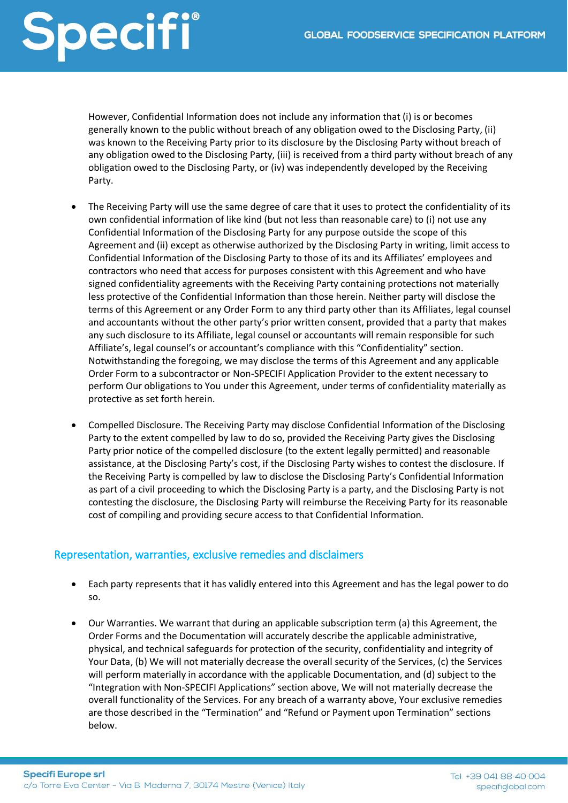# Specifi®

However, Confidential Information does not include any information that (i) is or becomes generally known to the public without breach of any obligation owed to the Disclosing Party, (ii) was known to the Receiving Party prior to its disclosure by the Disclosing Party without breach of any obligation owed to the Disclosing Party, (iii) is received from a third party without breach of any obligation owed to the Disclosing Party, or (iv) was independently developed by the Receiving Party.

- The Receiving Party will use the same degree of care that it uses to protect the confidentiality of its own confidential information of like kind (but not less than reasonable care) to (i) not use any Confidential Information of the Disclosing Party for any purpose outside the scope of this Agreement and (ii) except as otherwise authorized by the Disclosing Party in writing, limit access to Confidential Information of the Disclosing Party to those of its and its Affiliates' employees and contractors who need that access for purposes consistent with this Agreement and who have signed confidentiality agreements with the Receiving Party containing protections not materially less protective of the Confidential Information than those herein. Neither party will disclose the terms of this Agreement or any Order Form to any third party other than its Affiliates, legal counsel and accountants without the other party's prior written consent, provided that a party that makes any such disclosure to its Affiliate, legal counsel or accountants will remain responsible for such Affiliate's, legal counsel's or accountant's compliance with this "Confidentiality" section. Notwithstanding the foregoing, we may disclose the terms of this Agreement and any applicable Order Form to a subcontractor or Non-SPECIFI Application Provider to the extent necessary to perform Our obligations to You under this Agreement, under terms of confidentiality materially as protective as set forth herein.
- Compelled Disclosure. The Receiving Party may disclose Confidential Information of the Disclosing Party to the extent compelled by law to do so, provided the Receiving Party gives the Disclosing Party prior notice of the compelled disclosure (to the extent legally permitted) and reasonable assistance, at the Disclosing Party's cost, if the Disclosing Party wishes to contest the disclosure. If the Receiving Party is compelled by law to disclose the Disclosing Party's Confidential Information as part of a civil proceeding to which the Disclosing Party is a party, and the Disclosing Party is not contesting the disclosure, the Disclosing Party will reimburse the Receiving Party for its reasonable cost of compiling and providing secure access to that Confidential Information.

### Representation, warranties, exclusive remedies and disclaimers

- Each party represents that it has validly entered into this Agreement and has the legal power to do so.
- Our Warranties. We warrant that during an applicable subscription term (a) this Agreement, the Order Forms and the Documentation will accurately describe the applicable administrative, physical, and technical safeguards for protection of the security, confidentiality and integrity of Your Data, (b) We will not materially decrease the overall security of the Services, (c) the Services will perform materially in accordance with the applicable Documentation, and (d) subject to the "Integration with Non-SPECIFI Applications" section above, We will not materially decrease the overall functionality of the Services. For any breach of a warranty above, Your exclusive remedies are those described in the "Termination" and "Refund or Payment upon Termination" sections below.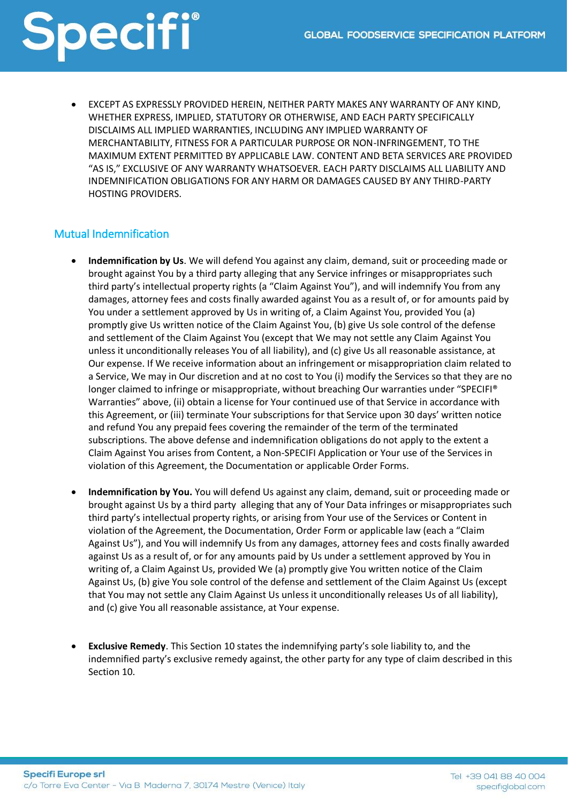• EXCEPT AS EXPRESSLY PROVIDED HEREIN, NEITHER PARTY MAKES ANY WARRANTY OF ANY KIND, WHETHER EXPRESS, IMPLIED, STATUTORY OR OTHERWISE, AND EACH PARTY SPECIFICALLY DISCLAIMS ALL IMPLIED WARRANTIES, INCLUDING ANY IMPLIED WARRANTY OF MERCHANTABILITY, FITNESS FOR A PARTICULAR PURPOSE OR NON-INFRINGEMENT, TO THE MAXIMUM EXTENT PERMITTED BY APPLICABLE LAW. CONTENT AND BETA SERVICES ARE PROVIDED "AS IS," EXCLUSIVE OF ANY WARRANTY WHATSOEVER. EACH PARTY DISCLAIMS ALL LIABILITY AND INDEMNIFICATION OBLIGATIONS FOR ANY HARM OR DAMAGES CAUSED BY ANY THIRD-PARTY HOSTING PROVIDERS.

### Mutual Indemnification

- **Indemnification by Us**. We will defend You against any claim, demand, suit or proceeding made or brought against You by a third party alleging that any Service infringes or misappropriates such third party's intellectual property rights (a "Claim Against You"), and will indemnify You from any damages, attorney fees and costs finally awarded against You as a result of, or for amounts paid by You under a settlement approved by Us in writing of, a Claim Against You, provided You (a) promptly give Us written notice of the Claim Against You, (b) give Us sole control of the defense and settlement of the Claim Against You (except that We may not settle any Claim Against You unless it unconditionally releases You of all liability), and (c) give Us all reasonable assistance, at Our expense. If We receive information about an infringement or misappropriation claim related to a Service, We may in Our discretion and at no cost to You (i) modify the Services so that they are no longer claimed to infringe or misappropriate, without breaching Our warranties under "SPECIFI® Warranties" above, (ii) obtain a license for Your continued use of that Service in accordance with this Agreement, or (iii) terminate Your subscriptions for that Service upon 30 days' written notice and refund You any prepaid fees covering the remainder of the term of the terminated subscriptions. The above defense and indemnification obligations do not apply to the extent a Claim Against You arises from Content, a Non-SPECIFI Application or Your use of the Services in violation of this Agreement, the Documentation or applicable Order Forms.
- **Indemnification by You.** You will defend Us against any claim, demand, suit or proceeding made or brought against Us by a third party alleging that any of Your Data infringes or misappropriates such third party's intellectual property rights, or arising from Your use of the Services or Content in violation of the Agreement, the Documentation, Order Form or applicable law (each a "Claim Against Us"), and You will indemnify Us from any damages, attorney fees and costs finally awarded against Us as a result of, or for any amounts paid by Us under a settlement approved by You in writing of, a Claim Against Us, provided We (a) promptly give You written notice of the Claim Against Us, (b) give You sole control of the defense and settlement of the Claim Against Us (except that You may not settle any Claim Against Us unless it unconditionally releases Us of all liability), and (c) give You all reasonable assistance, at Your expense.
- **Exclusive Remedy**. This Section 10 states the indemnifying party's sole liability to, and the indemnified party's exclusive remedy against, the other party for any type of claim described in this Section 10.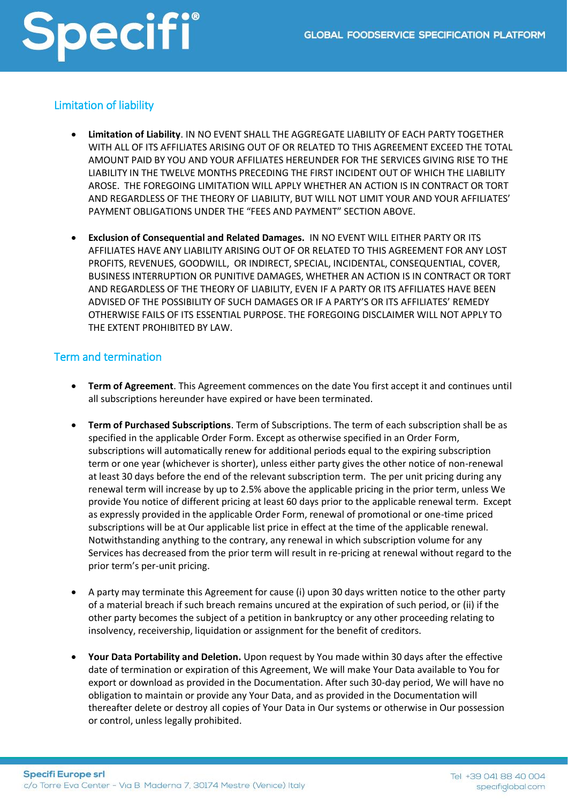### Limitation of liability

- **Limitation of Liability**. IN NO EVENT SHALL THE AGGREGATE LIABILITY OF EACH PARTY TOGETHER WITH ALL OF ITS AFFILIATES ARISING OUT OF OR RELATED TO THIS AGREEMENT EXCEED THE TOTAL AMOUNT PAID BY YOU AND YOUR AFFILIATES HEREUNDER FOR THE SERVICES GIVING RISE TO THE LIABILITY IN THE TWELVE MONTHS PRECEDING THE FIRST INCIDENT OUT OF WHICH THE LIABILITY AROSE. THE FOREGOING LIMITATION WILL APPLY WHETHER AN ACTION IS IN CONTRACT OR TORT AND REGARDLESS OF THE THEORY OF LIABILITY, BUT WILL NOT LIMIT YOUR AND YOUR AFFILIATES' PAYMENT OBLIGATIONS UNDER THE "FEES AND PAYMENT" SECTION ABOVE.
- **Exclusion of Consequential and Related Damages.** IN NO EVENT WILL EITHER PARTY OR ITS AFFILIATES HAVE ANY LIABILITY ARISING OUT OF OR RELATED TO THIS AGREEMENT FOR ANY LOST PROFITS, REVENUES, GOODWILL, OR INDIRECT, SPECIAL, INCIDENTAL, CONSEQUENTIAL, COVER, BUSINESS INTERRUPTION OR PUNITIVE DAMAGES, WHETHER AN ACTION IS IN CONTRACT OR TORT AND REGARDLESS OF THE THEORY OF LIABILITY, EVEN IF A PARTY OR ITS AFFILIATES HAVE BEEN ADVISED OF THE POSSIBILITY OF SUCH DAMAGES OR IF A PARTY'S OR ITS AFFILIATES' REMEDY OTHERWISE FAILS OF ITS ESSENTIAL PURPOSE. THE FOREGOING DISCLAIMER WILL NOT APPLY TO THE EXTENT PROHIBITED BY LAW.

#### Term and termination

- **Term of Agreement**. This Agreement commences on the date You first accept it and continues until all subscriptions hereunder have expired or have been terminated.
- **Term of Purchased Subscriptions**. Term of Subscriptions. The term of each subscription shall be as specified in the applicable Order Form. Except as otherwise specified in an Order Form, subscriptions will automatically renew for additional periods equal to the expiring subscription term or one year (whichever is shorter), unless either party gives the other notice of non-renewal at least 30 days before the end of the relevant subscription term. The per unit pricing during any renewal term will increase by up to 2.5% above the applicable pricing in the prior term, unless We provide You notice of different pricing at least 60 days prior to the applicable renewal term. Except as expressly provided in the applicable Order Form, renewal of promotional or one-time priced subscriptions will be at Our applicable list price in effect at the time of the applicable renewal. Notwithstanding anything to the contrary, any renewal in which subscription volume for any Services has decreased from the prior term will result in re-pricing at renewal without regard to the prior term's per-unit pricing.
- A party may terminate this Agreement for cause (i) upon 30 days written notice to the other party of a material breach if such breach remains uncured at the expiration of such period, or (ii) if the other party becomes the subject of a petition in bankruptcy or any other proceeding relating to insolvency, receivership, liquidation or assignment for the benefit of creditors.
- **Your Data Portability and Deletion.** Upon request by You made within 30 days after the effective date of termination or expiration of this Agreement, We will make Your Data available to You for export or download as provided in the Documentation. After such 30-day period, We will have no obligation to maintain or provide any Your Data, and as provided in the Documentation will thereafter delete or destroy all copies of Your Data in Our systems or otherwise in Our possession or control, unless legally prohibited.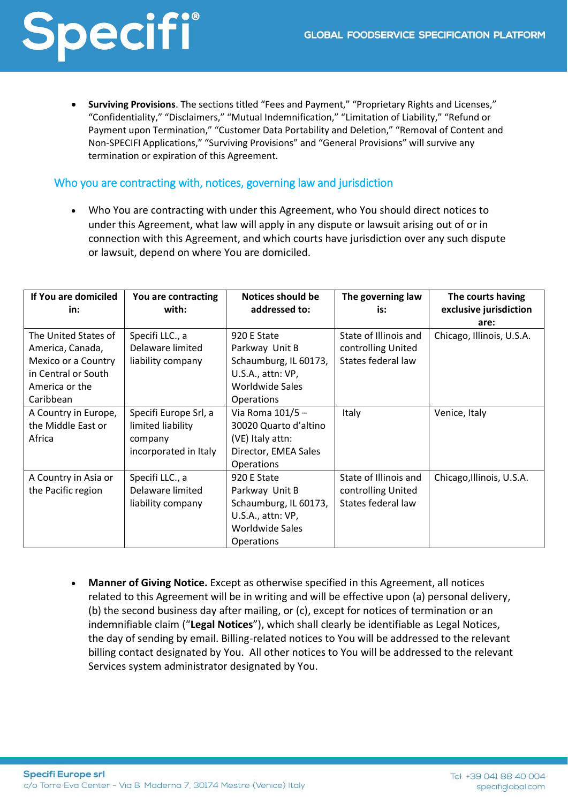• **Surviving Provisions**. The sections titled "Fees and Payment," "Proprietary Rights and Licenses," "Confidentiality," "Disclaimers," "Mutual Indemnification," "Limitation of Liability," "Refund or Payment upon Termination," "Customer Data Portability and Deletion," "Removal of Content and Non-SPECIFI Applications," "Surviving Provisions" and "General Provisions" will survive any termination or expiration of this Agreement.

#### Who you are contracting with, notices, governing law and jurisdiction

• Who You are contracting with under this Agreement, who You should direct notices to under this Agreement, what law will apply in any dispute or lawsuit arising out of or in connection with this Agreement, and which courts have jurisdiction over any such dispute or lawsuit, depend on where You are domiciled.

| If You are domiciled | You are contracting   | <b>Notices should be</b> | The governing law     | The courts having         |
|----------------------|-----------------------|--------------------------|-----------------------|---------------------------|
| in:                  | with:                 | addressed to:            | is:                   | exclusive jurisdiction    |
|                      |                       |                          |                       | are:                      |
| The United States of | Specifi LLC., a       | 920 E State              | State of Illinois and | Chicago, Illinois, U.S.A. |
| America, Canada,     | Delaware limited      | Parkway Unit B           | controlling United    |                           |
| Mexico or a Country  | liability company     | Schaumburg, IL 60173,    | States federal law    |                           |
| in Central or South  |                       | U.S.A., attn: VP,        |                       |                           |
| America or the       |                       | Worldwide Sales          |                       |                           |
| Caribbean            |                       | <b>Operations</b>        |                       |                           |
| A Country in Europe, | Specifi Europe Srl, a | Via Roma 101/5-          | Italy                 | Venice, Italy             |
| the Middle East or   | limited liability     | 30020 Quarto d'altino    |                       |                           |
| Africa               | company               | (VE) Italy attn:         |                       |                           |
|                      | incorporated in Italy | Director, EMEA Sales     |                       |                           |
|                      |                       | <b>Operations</b>        |                       |                           |
| A Country in Asia or | Specifi LLC., a       | 920 E State              | State of Illinois and | Chicago, Illinois, U.S.A. |
| the Pacific region   | Delaware limited      | Parkway Unit B           | controlling United    |                           |
|                      | liability company     | Schaumburg, IL 60173,    | States federal law    |                           |
|                      |                       | U.S.A., attn: VP,        |                       |                           |
|                      |                       | Worldwide Sales          |                       |                           |
|                      |                       | <b>Operations</b>        |                       |                           |

• **Manner of Giving Notice.** Except as otherwise specified in this Agreement, all notices related to this Agreement will be in writing and will be effective upon (a) personal delivery, (b) the second business day after mailing, or (c), except for notices of termination or an indemnifiable claim ("**Legal Notices**"), which shall clearly be identifiable as Legal Notices, the day of sending by email. Billing-related notices to You will be addressed to the relevant billing contact designated by You. All other notices to You will be addressed to the relevant Services system administrator designated by You.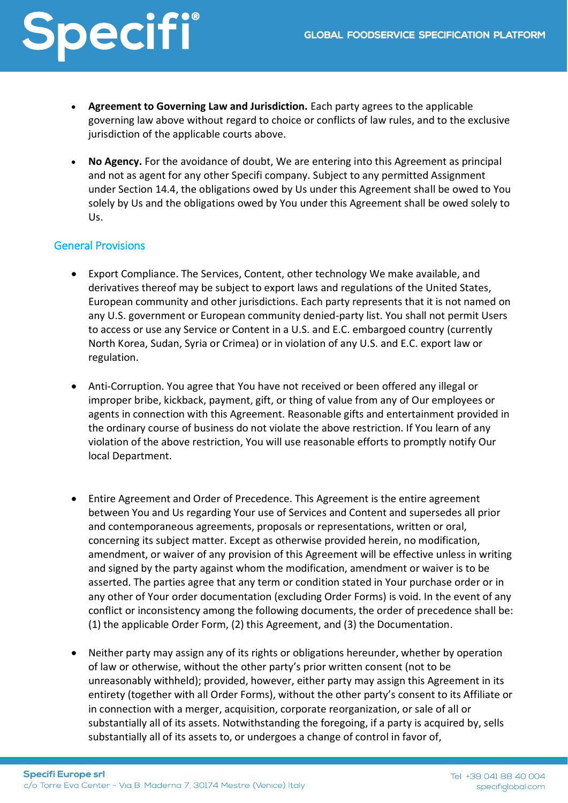- **Agreement to Governing Law and Jurisdiction.** Each party agrees to the applicable governing law above without regard to choice or conflicts of law rules, and to the exclusive jurisdiction of the applicable courts above.
- **No Agency.** For the avoidance of doubt, We are entering into this Agreement as principal and not as agent for any other Specifi company. Subject to any permitted Assignment under Section 14.4, the obligations owed by Us under this Agreement shall be owed to You solely by Us and the obligations owed by You under this Agreement shall be owed solely to Us.

### General Provisions

- Export Compliance. The Services, Content, other technology We make available, and derivatives thereof may be subject to export laws and regulations of the United States, European community and other jurisdictions. Each party represents that it is not named on any U.S. government or European community denied-party list. You shall not permit Users to access or use any Service or Content in a U.S. and E.C. embargoed country (currently North Korea, Sudan, Syria or Crimea) or in violation of any U.S. and E.C. export law or regulation.
- Anti-Corruption. You agree that You have not received or been offered any illegal or improper bribe, kickback, payment, gift, or thing of value from any of Our employees or agents in connection with this Agreement. Reasonable gifts and entertainment provided in the ordinary course of business do not violate the above restriction. If You learn of any violation of the above restriction, You will use reasonable efforts to promptly notify Our local Department.
- Entire Agreement and Order of Precedence. This Agreement is the entire agreement between You and Us regarding Your use of Services and Content and supersedes all prior and contemporaneous agreements, proposals or representations, written or oral, concerning its subject matter. Except as otherwise provided herein, no modification, amendment, or waiver of any provision of this Agreement will be effective unless in writing and signed by the party against whom the modification, amendment or waiver is to be asserted. The parties agree that any term or condition stated in Your purchase order or in any other of Your order documentation (excluding Order Forms) is void. In the event of any conflict or inconsistency among the following documents, the order of precedence shall be: (1) the applicable Order Form, (2) this Agreement, and (3) the Documentation.
- Neither party may assign any of its rights or obligations hereunder, whether by operation of law or otherwise, without the other party's prior written consent (not to be unreasonably withheld); provided, however, either party may assign this Agreement in its entirety (together with all Order Forms), without the other party's consent to its Affiliate or in connection with a merger, acquisition, corporate reorganization, or sale of all or substantially all of its assets. Notwithstanding the foregoing, if a party is acquired by, sells substantially all of its assets to, or undergoes a change of control in favor of,